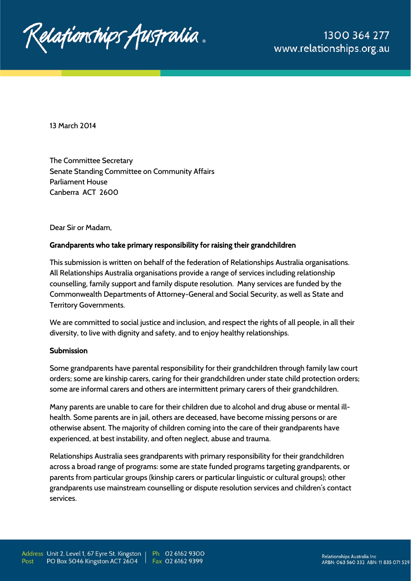

13 March 2014

The Committee Secretary Senate Standing Committee on Community Affairs Parliament House Canberra ACT 2600

Dear Sir or Madam,

### **Grandparents who take primary responsibility for raising their grandchildren**

This submission is written on behalf of the federation of Relationships Australia organisations. All Relationships Australia organisations provide a range of services including relationship counselling, family support and family dispute resolution. Many services are funded by the Commonwealth Departments of Attorney-General and Social Security, as well as State and Territory Governments.

We are committed to social justice and inclusion, and respect the rights of all people, in all their diversity, to live with dignity and safety, and to enjoy healthy relationships.

#### **Submission**

Some grandparents have parental responsibility for their grandchildren through family law court orders; some are kinship carers, caring for their grandchildren under state child protection orders; some are informal carers and others are intermittent primary carers of their grandchildren.

Many parents are unable to care for their children due to alcohol and drug abuse or mental illhealth. Some parents are in jail, others are deceased, have become missing persons or are otherwise absent. The majority of children coming into the care of their grandparents have experienced, at best instability, and often neglect, abuse and trauma.

Relationships Australia sees grandparents with primary responsibility for their grandchildren across a broad range of programs: some are state funded programs targeting grandparents, or parents from particular groups (kinship carers or particular linguistic or cultural groups); other grandparents use mainstream counselling or dispute resolution services and children's contact services.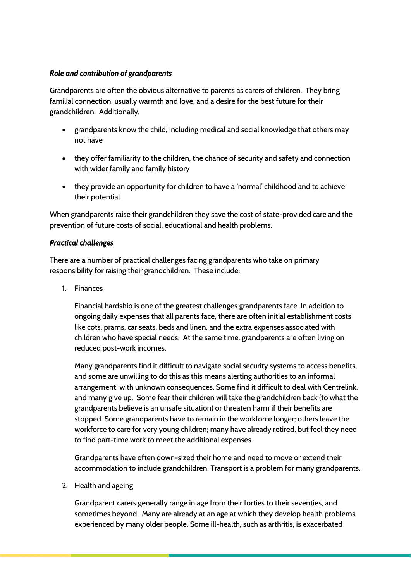## *Role and contribution of grandparents*

Grandparents are often the obvious alternative to parents as carers of children. They bring familial connection, usually warmth and love, and a desire for the best future for their grandchildren. Additionally,

- grandparents know the child, including medical and social knowledge that others may not have
- they offer familiarity to the children, the chance of security and safety and connection with wider family and family history
- they provide an opportunity for children to have a 'normal' childhood and to achieve their potential.

When grandparents raise their grandchildren they save the cost of state-provided care and the prevention of future costs of social, educational and health problems.

## *Practical challenges*

There are a number of practical challenges facing grandparents who take on primary responsibility for raising their grandchildren. These include:

1. Finances

Financial hardship is one of the greatest challenges grandparents face. In addition to ongoing daily expenses that all parents face, there are often initial establishment costs like cots, prams, car seats, beds and linen, and the extra expenses associated with children who have special needs. At the same time, grandparents are often living on reduced post-work incomes.

Many grandparents find it difficult to navigate social security systems to access benefits, and some are unwilling to do this as this means alerting authorities to an informal arrangement, with unknown consequences. Some find it difficult to deal with Centrelink, and many give up. Some fear their children will take the grandchildren back (to what the grandparents believe is an unsafe situation) or threaten harm if their benefits are stopped. Some grandparents have to remain in the workforce longer; others leave the workforce to care for very young children; many have already retired, but feel they need to find part-time work to meet the additional expenses.

Grandparents have often down-sized their home and need to move or extend their accommodation to include grandchildren. Transport is a problem for many grandparents.

### 2. Health and ageing

Grandparent carers generally range in age from their forties to their seventies, and sometimes beyond. Many are already at an age at which they develop health problems experienced by many older people. Some ill-health, such as arthritis, is exacerbated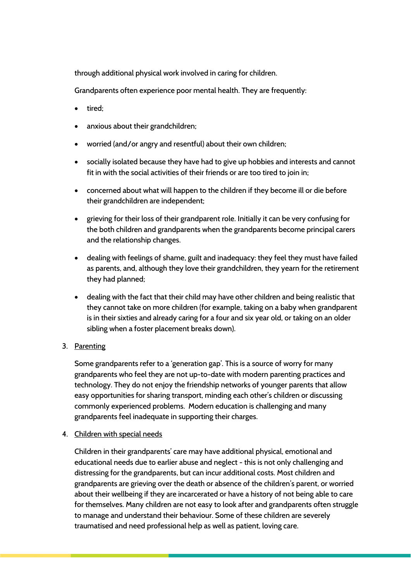through additional physical work involved in caring for children.

Grandparents often experience poor mental health. They are frequently:

- tired;
- anxious about their grandchildren;
- worried (and/or angry and resentful) about their own children;
- socially isolated because they have had to give up hobbies and interests and cannot fit in with the social activities of their friends or are too tired to join in;
- concerned about what will happen to the children if they become ill or die before their grandchildren are independent;
- grieving for their loss of their grandparent role. Initially it can be very confusing for the both children and grandparents when the grandparents become principal carers and the relationship changes.
- dealing with feelings of shame, guilt and inadequacy: they feel they must have failed as parents, and, although they love their grandchildren, they yearn for the retirement they had planned;
- dealing with the fact that their child may have other children and being realistic that they cannot take on more children (for example, taking on a baby when grandparent is in their sixties and already caring for a four and six year old, or taking on an older sibling when a foster placement breaks down).
- 3. Parenting

Some grandparents refer to a 'generation gap'. This is a source of worry for many grandparents who feel they are not up-to-date with modern parenting practices and technology. They do not enjoy the friendship networks of younger parents that allow easy opportunities for sharing transport, minding each other's children or discussing commonly experienced problems. Modern education is challenging and many grandparents feel inadequate in supporting their charges.

4. Children with special needs

Children in their grandparents' care may have additional physical, emotional and educational needs due to earlier abuse and neglect - this is not only challenging and distressing for the grandparents, but can incur additional costs. Most children and grandparents are grieving over the death or absence of the children's parent, or worried about their wellbeing if they are incarcerated or have a history of not being able to care for themselves. Many children are not easy to look after and grandparents often struggle to manage and understand their behaviour. Some of these children are severely traumatised and need professional help as well as patient, loving care.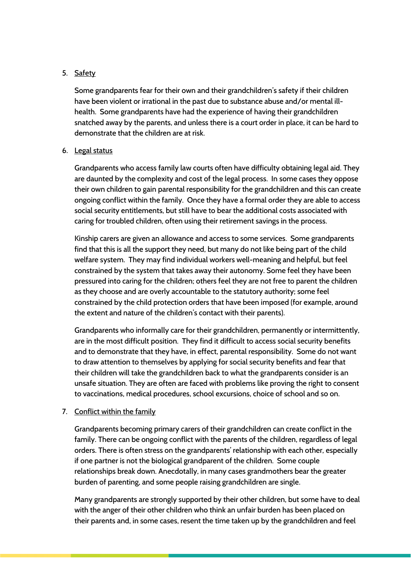## 5. Safety

Some grandparents fear for their own and their grandchildren's safety if their children have been violent or irrational in the past due to substance abuse and/or mental illhealth. Some grandparents have had the experience of having their grandchildren snatched away by the parents, and unless there is a court order in place, it can be hard to demonstrate that the children are at risk.

## 6. Legal status

Grandparents who access family law courts often have difficulty obtaining legal aid. They are daunted by the complexity and cost of the legal process. In some cases they oppose their own children to gain parental responsibility for the grandchildren and this can create ongoing conflict within the family. Once they have a formal order they are able to access social security entitlements, but still have to bear the additional costs associated with caring for troubled children, often using their retirement savings in the process.

Kinship carers are given an allowance and access to some services. Some grandparents find that this is all the support they need, but many do not like being part of the child welfare system. They may find individual workers well-meaning and helpful, but feel constrained by the system that takes away their autonomy. Some feel they have been pressured into caring for the children; others feel they are not free to parent the children as they choose and are overly accountable to the statutory authority; some feel constrained by the child protection orders that have been imposed (for example, around the extent and nature of the children's contact with their parents).

Grandparents who informally care for their grandchildren, permanently or intermittently, are in the most difficult position. They find it difficult to access social security benefits and to demonstrate that they have, in effect, parental responsibility. Some do not want to draw attention to themselves by applying for social security benefits and fear that their children will take the grandchildren back to what the grandparents consider is an unsafe situation. They are often are faced with problems like proving the right to consent to vaccinations, medical procedures, school excursions, choice of school and so on.

### 7. Conflict within the family

Grandparents becoming primary carers of their grandchildren can create conflict in the family. There can be ongoing conflict with the parents of the children, regardless of legal orders. There is often stress on the grandparents' relationship with each other, especially if one partner is not the biological grandparent of the children. Some couple relationships break down. Anecdotally, in many cases grandmothers bear the greater burden of parenting, and some people raising grandchildren are single.

Many grandparents are strongly supported by their other children, but some have to deal with the anger of their other children who think an unfair burden has been placed on their parents and, in some cases, resent the time taken up by the grandchildren and feel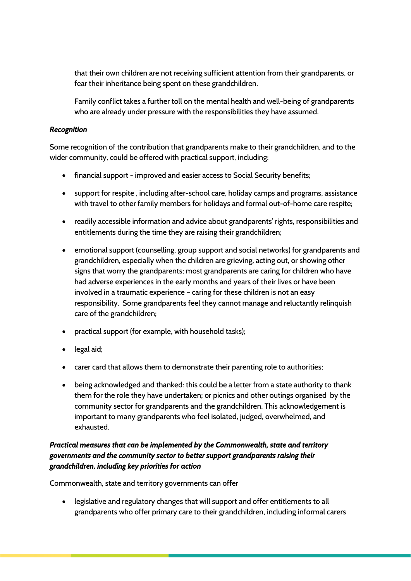that their own children are not receiving sufficient attention from their grandparents, or fear their inheritance being spent on these grandchildren.

Family conflict takes a further toll on the mental health and well-being of grandparents who are already under pressure with the responsibilities they have assumed.

### *Recognition*

Some recognition of the contribution that grandparents make to their grandchildren, and to the wider community, could be offered with practical support, including:

- financial support improved and easier access to Social Security benefits;
- support for respite , including after-school care, holiday camps and programs, assistance with travel to other family members for holidays and formal out-of-home care respite;
- readily accessible information and advice about grandparents' rights, responsibilities and entitlements during the time they are raising their grandchildren;
- emotional support (counselling, group support and social networks) for grandparents and grandchildren, especially when the children are grieving, acting out, or showing other signs that worry the grandparents; most grandparents are caring for children who have had adverse experiences in the early months and years of their lives or have been involved in a traumatic experience – caring for these children is not an easy responsibility. Some grandparents feel they cannot manage and reluctantly relinquish care of the grandchildren;
- practical support (for example, with household tasks);
- $\bullet$  legal aid;
- carer card that allows them to demonstrate their parenting role to authorities;
- being acknowledged and thanked: this could be a letter from a state authority to thank them for the role they have undertaken; or picnics and other outings organised by the community sector for grandparents and the grandchildren. This acknowledgement is important to many grandparents who feel isolated, judged, overwhelmed, and exhausted.

# *Practical measures that can be implemented by the Commonwealth, state and territory governments and the community sector to better support grandparents raising their grandchildren, including key priorities for action*

Commonwealth, state and territory governments can offer

 legislative and regulatory changes that will support and offer entitlements to all grandparents who offer primary care to their grandchildren, including informal carers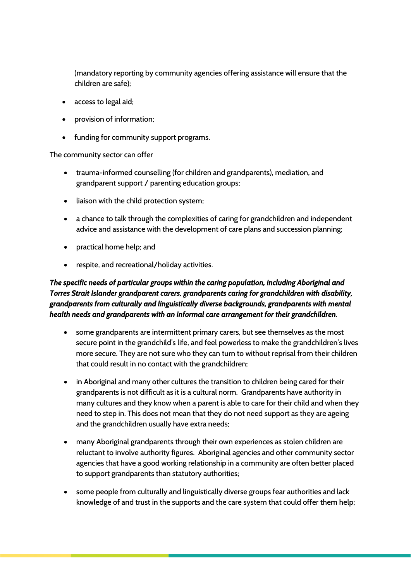(mandatory reporting by community agencies offering assistance will ensure that the children are safe);

- access to legal aid;
- provision of information;
- funding for community support programs.

#### The community sector can offer

- trauma-informed counselling (for children and grandparents), mediation, and grandparent support / parenting education groups;
- liaison with the child protection system;
- a chance to talk through the complexities of caring for grandchildren and independent advice and assistance with the development of care plans and succession planning;
- practical home help; and
- respite, and recreational/holiday activities.

# *The specific needs of particular groups within the caring population, including Aboriginal and Torres Strait Islander grandparent carers, grandparents caring for grandchildren with disability, grandparents from culturally and linguistically diverse backgrounds, grandparents with mental health needs and grandparents with an informal care arrangement for their grandchildren.*

- some grandparents are intermittent primary carers, but see themselves as the most secure point in the grandchild's life, and feel powerless to make the grandchildren's lives more secure. They are not sure who they can turn to without reprisal from their children that could result in no contact with the grandchildren;
- in Aboriginal and many other cultures the transition to children being cared for their grandparents is not difficult as it is a cultural norm. Grandparents have authority in many cultures and they know when a parent is able to care for their child and when they need to step in. This does not mean that they do not need support as they are ageing and the grandchildren usually have extra needs;
- many Aboriginal grandparents through their own experiences as stolen children are reluctant to involve authority figures. Aboriginal agencies and other community sector agencies that have a good working relationship in a community are often better placed to support grandparents than statutory authorities;
- some people from culturally and linguistically diverse groups fear authorities and lack knowledge of and trust in the supports and the care system that could offer them help;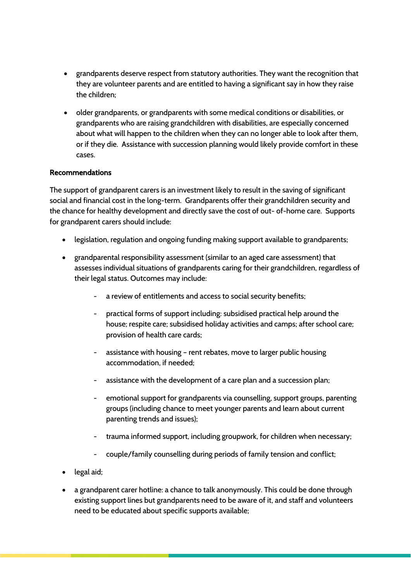- grandparents deserve respect from statutory authorities. They want the recognition that they are volunteer parents and are entitled to having a significant say in how they raise the children;
- older grandparents, or grandparents with some medical conditions or disabilities, or grandparents who are raising grandchildren with disabilities, are especially concerned about what will happen to the children when they can no longer able to look after them, or if they die. Assistance with succession planning would likely provide comfort in these cases.

## **Recommendations**

The support of grandparent carers is an investment likely to result in the saving of significant social and financial cost in the long-term. Grandparents offer their grandchildren security and the chance for healthy development and directly save the cost of out- of-home care. Supports for grandparent carers should include:

- legislation, regulation and ongoing funding making support available to grandparents;
- grandparental responsibility assessment (similar to an aged care assessment) that assesses individual situations of grandparents caring for their grandchildren, regardless of their legal status. Outcomes may include:
	- a review of entitlements and access to social security benefits;
	- practical forms of support including: subsidised practical help around the house; respite care; subsidised holiday activities and camps; after school care; provision of health care cards;
	- assistance with housing rent rebates, move to larger public housing accommodation, if needed;
	- assistance with the development of a care plan and a succession plan;
	- emotional support for grandparents via counselling, support groups, parenting groups (including chance to meet younger parents and learn about current parenting trends and issues);
	- trauma informed support, including groupwork, for children when necessary;
	- couple/family counselling during periods of family tension and conflict;
- legal aid:
- a grandparent carer hotline: a chance to talk anonymously. This could be done through existing support lines but grandparents need to be aware of it, and staff and volunteers need to be educated about specific supports available;